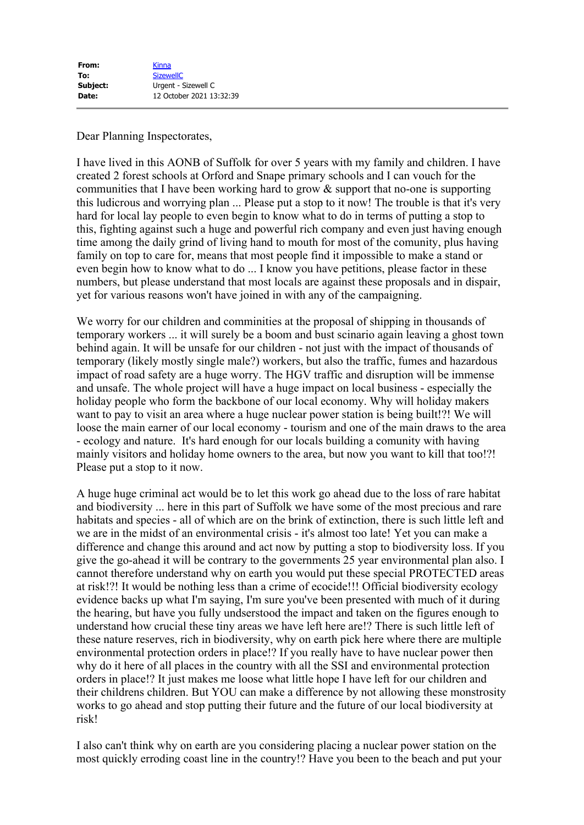## Dear Planning Inspectorates,

I have lived in this AONB of Suffolk for over 5 years with my family and children. I have created 2 forest schools at Orford and Snape primary schools and I can vouch for the communities that I have been working hard to grow  $\&$  support that no-one is supporting this ludicrous and worrying plan ... Please put a stop to it now! The trouble is that it's very hard for local lay people to even begin to know what to do in terms of putting a stop to this, fighting against such a huge and powerful rich company and even just having enough time among the daily grind of living hand to mouth for most of the comunity, plus having family on top to care for, means that most people find it impossible to make a stand or even begin how to know what to do ... I know you have petitions, please factor in these numbers, but please understand that most locals are against these proposals and in dispair, yet for various reasons won't have joined in with any of the campaigning.

We worry for our children and comminities at the proposal of shipping in thousands of temporary workers ... it will surely be a boom and bust scinario again leaving a ghost town behind again. It will be unsafe for our children - not just with the impact of thousands of temporary (likely mostly single male?) workers, but also the traffic, fumes and hazardous impact of road safety are a huge worry. The HGV traffic and disruption will be immense and unsafe. The whole project will have a huge impact on local business - especially the holiday people who form the backbone of our local economy. Why will holiday makers want to pay to visit an area where a huge nuclear power station is being built!?! We will loose the main earner of our local economy - tourism and one of the main draws to the area - ecology and nature. It's hard enough for our locals building a comunity with having mainly visitors and holiday home owners to the area, but now you want to kill that too!?! Please put a stop to it now.

A huge huge criminal act would be to let this work go ahead due to the loss of rare habitat and biodiversity ... here in this part of Suffolk we have some of the most precious and rare habitats and species - all of which are on the brink of extinction, there is such little left and we are in the midst of an environmental crisis - it's almost too late! Yet you can make a difference and change this around and act now by putting a stop to biodiversity loss. If you give the go-ahead it will be contrary to the governments 25 year environmental plan also. I cannot therefore understand why on earth you would put these special PROTECTED areas at risk!?! It would be nothing less than a crime of ecocide!!! Official biodiversity ecology evidence backs up what I'm saying, I'm sure you've been presented with much of it during the hearing, but have you fully undserstood the impact and taken on the figures enough to understand how crucial these tiny areas we have left here are!? There is such little left of these nature reserves, rich in biodiversity, why on earth pick here where there are multiple environmental protection orders in place!? If you really have to have nuclear power then why do it here of all places in the country with all the SSI and environmental protection orders in place!? It just makes me loose what little hope I have left for our children and their childrens children. But YOU can make a difference by not allowing these monstrosity works to go ahead and stop putting their future and the future of our local biodiversity at risk!

I also can't think why on earth are you considering placing a nuclear power station on the most quickly erroding coast line in the country!? Have you been to the beach and put your